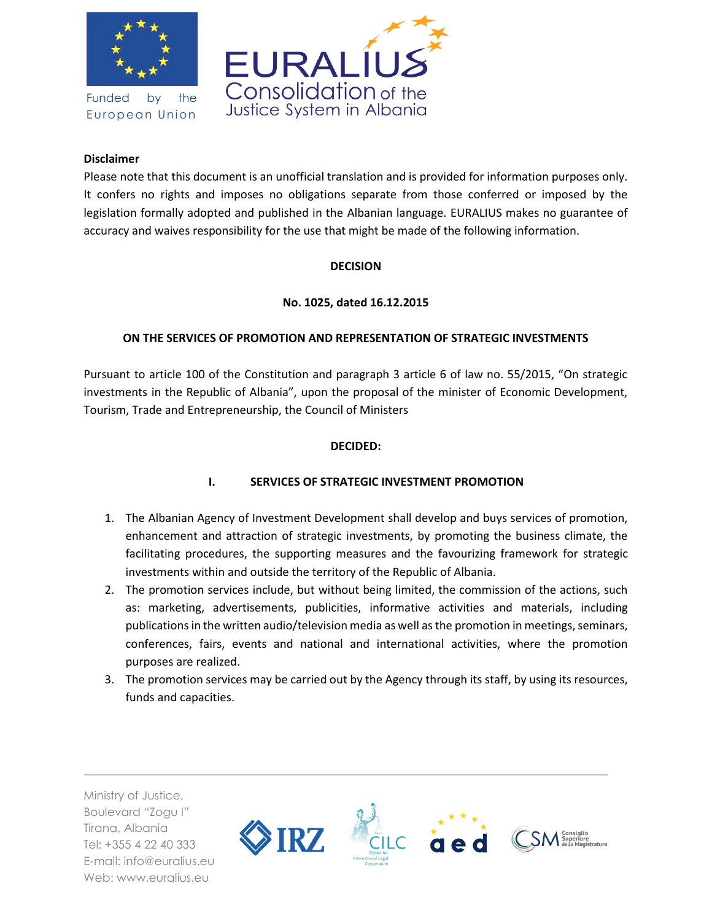

Funded by the European Union



## **Disclaimer**

Please note that this document is an unofficial translation and is provided for information purposes only. It confers no rights and imposes no obligations separate from those conferred or imposed by the legislation formally adopted and published in the Albanian language. EURALIUS makes no guarantee of accuracy and waives responsibility for the use that might be made of the following information.

### **DECISION**

# **No. 1025, dated 16.12.2015**

# **ON THE SERVICES OF PROMOTION AND REPRESENTATION OF STRATEGIC INVESTMENTS**

Pursuant to article 100 of the Constitution and paragraph 3 article 6 of law no. 55/2015, "On strategic investments in the Republic of Albania", upon the proposal of the minister of Economic Development, Tourism, Trade and Entrepreneurship, the Council of Ministers

### **DECIDED:**

# **I. SERVICES OF STRATEGIC INVESTMENT PROMOTION**

- 1. The Albanian Agency of Investment Development shall develop and buys services of promotion, enhancement and attraction of strategic investments, by promoting the business climate, the facilitating procedures, the supporting measures and the favourizing framework for strategic investments within and outside the territory of the Republic of Albania.
- 2. The promotion services include, but without being limited, the commission of the actions, such as: marketing, advertisements, publicities, informative activities and materials, including publications in the written audio/television media as well as the promotion in meetings, seminars, conferences, fairs, events and national and international activities, where the promotion purposes are realized.
- 3. The promotion services may be carried out by the Agency through its staff, by using its resources, funds and capacities.

Ministry of Justice, Boulevard "Zogu I" Tirana, Albania Tel: +355 4 22 40 333 E-mail: info@euralius.eu Web: www.euralius.eu

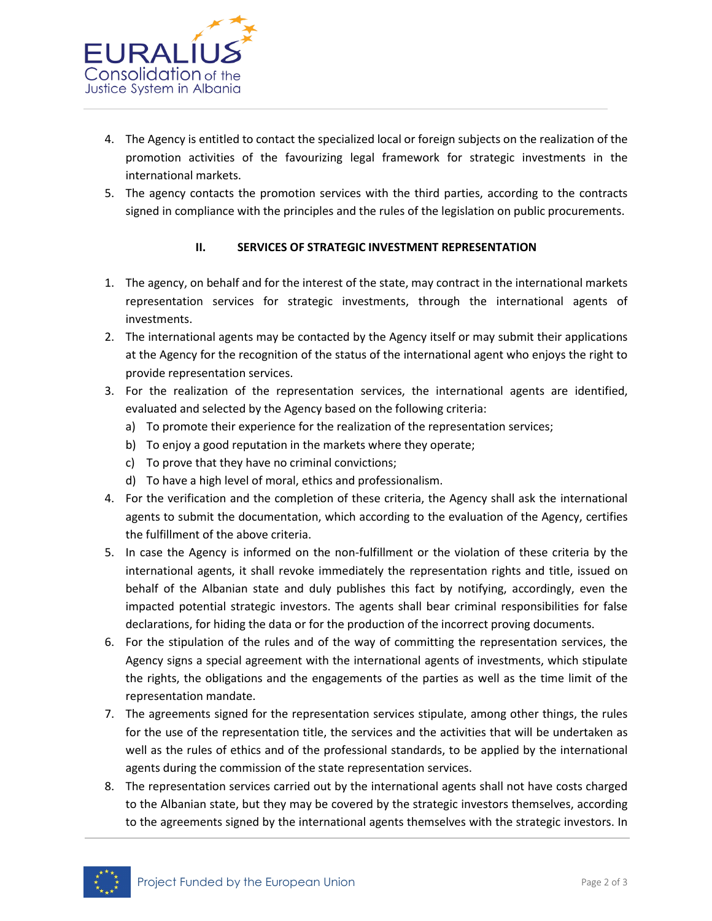

- 4. The Agency is entitled to contact the specialized local or foreign subjects on the realization of the promotion activities of the favourizing legal framework for strategic investments in the international markets.
- 5. The agency contacts the promotion services with the third parties, according to the contracts signed in compliance with the principles and the rules of the legislation on public procurements.

### **II. SERVICES OF STRATEGIC INVESTMENT REPRESENTATION**

- 1. The agency, on behalf and for the interest of the state, may contract in the international markets representation services for strategic investments, through the international agents of investments.
- 2. The international agents may be contacted by the Agency itself or may submit their applications at the Agency for the recognition of the status of the international agent who enjoys the right to provide representation services.
- 3. For the realization of the representation services, the international agents are identified, evaluated and selected by the Agency based on the following criteria:
	- a) To promote their experience for the realization of the representation services;
	- b) To enjoy a good reputation in the markets where they operate;
	- c) To prove that they have no criminal convictions;
	- d) To have a high level of moral, ethics and professionalism.
- 4. For the verification and the completion of these criteria, the Agency shall ask the international agents to submit the documentation, which according to the evaluation of the Agency, certifies the fulfillment of the above criteria.
- 5. In case the Agency is informed on the non-fulfillment or the violation of these criteria by the international agents, it shall revoke immediately the representation rights and title, issued on behalf of the Albanian state and duly publishes this fact by notifying, accordingly, even the impacted potential strategic investors. The agents shall bear criminal responsibilities for false declarations, for hiding the data or for the production of the incorrect proving documents.
- 6. For the stipulation of the rules and of the way of committing the representation services, the Agency signs a special agreement with the international agents of investments, which stipulate the rights, the obligations and the engagements of the parties as well as the time limit of the representation mandate.
- 7. The agreements signed for the representation services stipulate, among other things, the rules for the use of the representation title, the services and the activities that will be undertaken as well as the rules of ethics and of the professional standards, to be applied by the international agents during the commission of the state representation services.
- 8. The representation services carried out by the international agents shall not have costs charged to the Albanian state, but they may be covered by the strategic investors themselves, according to the agreements signed by the international agents themselves with the strategic investors. In